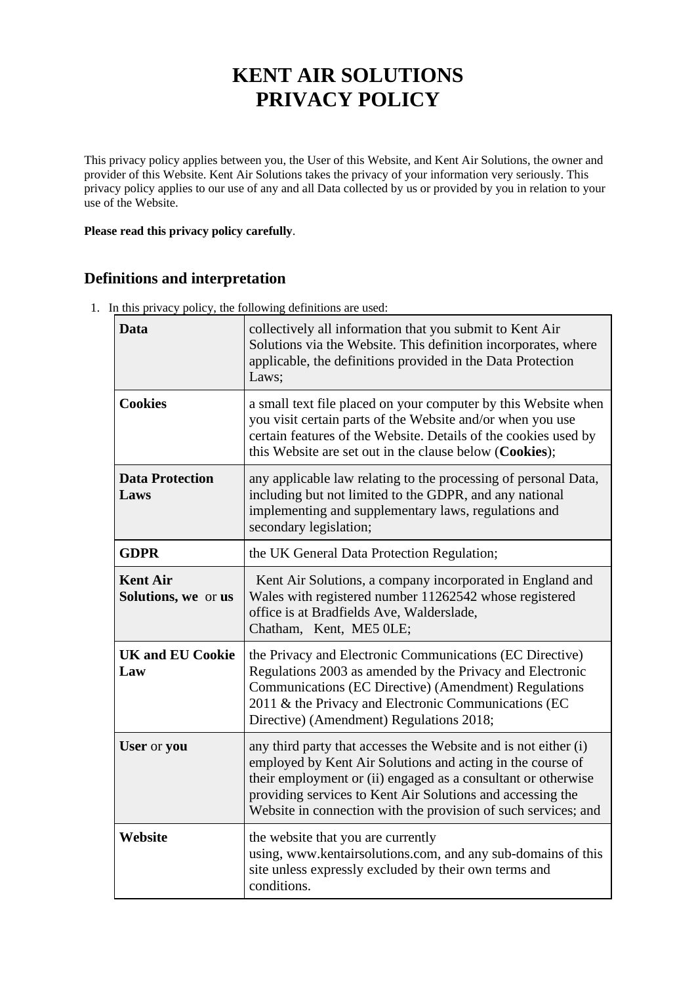# **KENT AIR SOLUTIONS PRIVACY POLICY**

This privacy policy applies between you, the User of this Website, and Kent Air Solutions, the owner and provider of this Website. Kent Air Solutions takes the privacy of your information very seriously. This privacy policy applies to our use of any and all Data collected by us or provided by you in relation to your use of the Website.

#### **Please read this privacy policy carefully**.

# **Definitions and interpretation**

1. In this privacy policy, the following definitions are used:

| Data                                   | collectively all information that you submit to Kent Air<br>Solutions via the Website. This definition incorporates, where<br>applicable, the definitions provided in the Data Protection<br>Laws;                                                                                                                             |
|----------------------------------------|--------------------------------------------------------------------------------------------------------------------------------------------------------------------------------------------------------------------------------------------------------------------------------------------------------------------------------|
| <b>Cookies</b>                         | a small text file placed on your computer by this Website when<br>you visit certain parts of the Website and/or when you use<br>certain features of the Website. Details of the cookies used by<br>this Website are set out in the clause below (Cookies);                                                                     |
| <b>Data Protection</b><br>Laws         | any applicable law relating to the processing of personal Data,<br>including but not limited to the GDPR, and any national<br>implementing and supplementary laws, regulations and<br>secondary legislation;                                                                                                                   |
| <b>GDPR</b>                            | the UK General Data Protection Regulation;                                                                                                                                                                                                                                                                                     |
| <b>Kent Air</b><br>Solutions, we or us | Kent Air Solutions, a company incorporated in England and<br>Wales with registered number 11262542 whose registered<br>office is at Bradfields Ave, Walderslade,<br>Chatham, Kent, ME5 0LE;                                                                                                                                    |
| <b>UK and EU Cookie</b><br>Law         | the Privacy and Electronic Communications (EC Directive)<br>Regulations 2003 as amended by the Privacy and Electronic<br>Communications (EC Directive) (Amendment) Regulations<br>2011 & the Privacy and Electronic Communications (EC<br>Directive) (Amendment) Regulations 2018;                                             |
| User or you                            | any third party that accesses the Website and is not either (i)<br>employed by Kent Air Solutions and acting in the course of<br>their employment or (ii) engaged as a consultant or otherwise<br>providing services to Kent Air Solutions and accessing the<br>Website in connection with the provision of such services; and |
| Website                                | the website that you are currently<br>using, www.kentairsolutions.com, and any sub-domains of this<br>site unless expressly excluded by their own terms and<br>conditions.                                                                                                                                                     |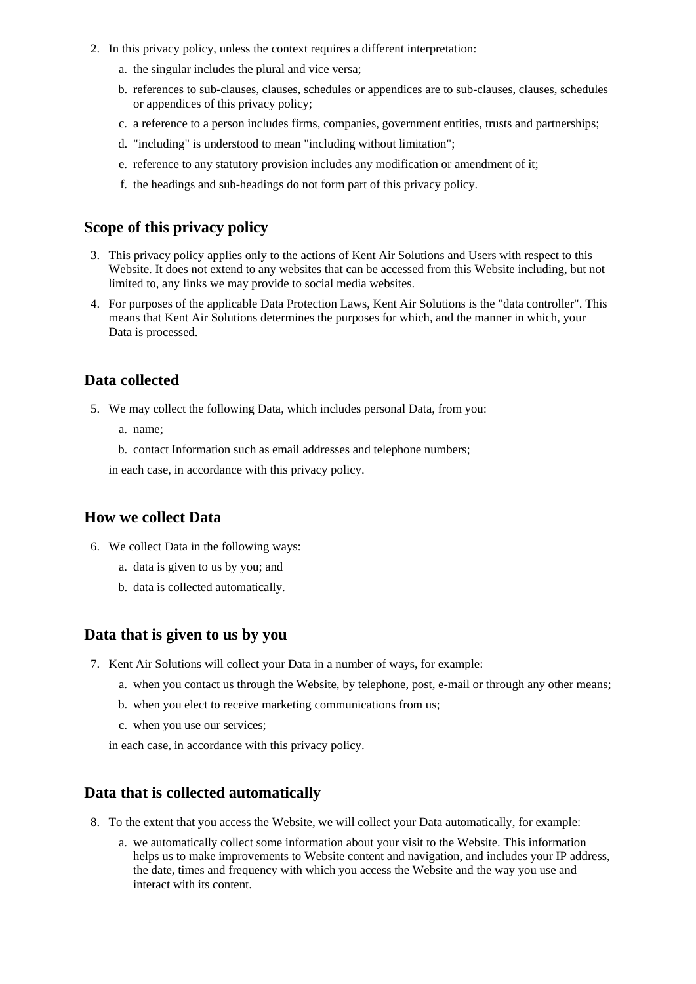- 2. In this privacy policy, unless the context requires a different interpretation:
	- a. the singular includes the plural and vice versa;
	- b. references to sub-clauses, clauses, schedules or appendices are to sub-clauses, clauses, schedules or appendices of this privacy policy;
	- c. a reference to a person includes firms, companies, government entities, trusts and partnerships;
	- d. "including" is understood to mean "including without limitation";
	- e. reference to any statutory provision includes any modification or amendment of it;
	- f. the headings and sub-headings do not form part of this privacy policy.

## **Scope of this privacy policy**

- 3. This privacy policy applies only to the actions of Kent Air Solutions and Users with respect to this Website. It does not extend to any websites that can be accessed from this Website including, but not limited to, any links we may provide to social media websites.
- 4. For purposes of the applicable Data Protection Laws, Kent Air Solutions is the "data controller". This means that Kent Air Solutions determines the purposes for which, and the manner in which, your Data is processed.

## **Data collected**

- 5. We may collect the following Data, which includes personal Data, from you:
	- a. name;
	- b. contact Information such as email addresses and telephone numbers;

in each case, in accordance with this privacy policy.

## **How we collect Data**

- 6. We collect Data in the following ways:
	- a. data is given to us by you; and
	- b. data is collected automatically.

#### **Data that is given to us by you**

- 7. Kent Air Solutions will collect your Data in a number of ways, for example:
	- a. when you contact us through the Website, by telephone, post, e-mail or through any other means;
	- b. when you elect to receive marketing communications from us;
	- c. when you use our services;
	- in each case, in accordance with this privacy policy.

## **Data that is collected automatically**

- 8. To the extent that you access the Website, we will collect your Data automatically, for example:
	- a. we automatically collect some information about your visit to the Website. This information helps us to make improvements to Website content and navigation, and includes your IP address, the date, times and frequency with which you access the Website and the way you use and interact with its content.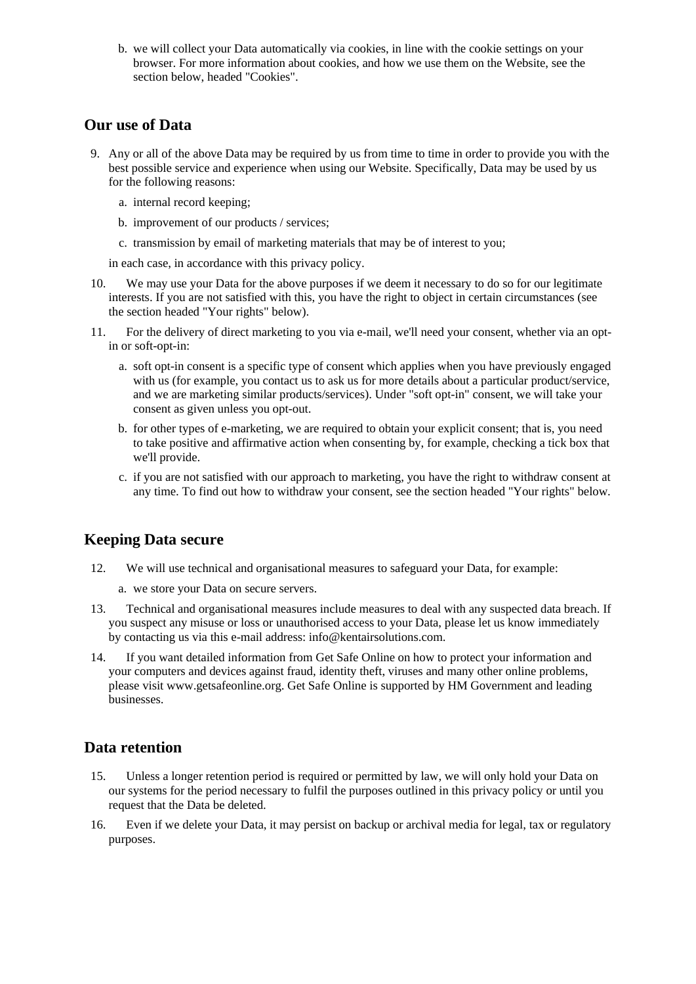b. we will collect your Data automatically via cookies, in line with the cookie settings on your browser. For more information about cookies, and how we use them on the Website, see the section below, headed "Cookies".

## **Our use of Data**

- 9. Any or all of the above Data may be required by us from time to time in order to provide you with the best possible service and experience when using our Website. Specifically, Data may be used by us for the following reasons:
	- a. internal record keeping;
	- b. improvement of our products / services;
	- c. transmission by email of marketing materials that may be of interest to you;

in each case, in accordance with this privacy policy.

- 10. We may use your Data for the above purposes if we deem it necessary to do so for our legitimate interests. If you are not satisfied with this, you have the right to object in certain circumstances (see the section headed "Your rights" below).
- 11. For the delivery of direct marketing to you via e-mail, we'll need your consent, whether via an optin or soft-opt-in:
	- a. soft opt-in consent is a specific type of consent which applies when you have previously engaged with us (for example, you contact us to ask us for more details about a particular product/service, and we are marketing similar products/services). Under "soft opt-in" consent, we will take your consent as given unless you opt-out.
	- b. for other types of e-marketing, we are required to obtain your explicit consent; that is, you need to take positive and affirmative action when consenting by, for example, checking a tick box that we'll provide.
	- c. if you are not satisfied with our approach to marketing, you have the right to withdraw consent at any time. To find out how to withdraw your consent, see the section headed "Your rights" below.

## **Keeping Data secure**

- 12. We will use technical and organisational measures to safeguard your Data, for example:
	- a. we store your Data on secure servers.
- 13. Technical and organisational measures include measures to deal with any suspected data breach. If you suspect any misuse or loss or unauthorised access to your Data, please let us know immediately by contacting us via this e-mail address: info@kentairsolutions.com.
- 14. If you want detailed information from Get Safe Online on how to protect your information and your computers and devices against fraud, identity theft, viruses and many other online problems, please visit www.getsafeonline.org. Get Safe Online is supported by HM Government and leading businesses.

## **Data retention**

- 15. Unless a longer retention period is required or permitted by law, we will only hold your Data on our systems for the period necessary to fulfil the purposes outlined in this privacy policy or until you request that the Data be deleted.
- 16. Even if we delete your Data, it may persist on backup or archival media for legal, tax or regulatory purposes.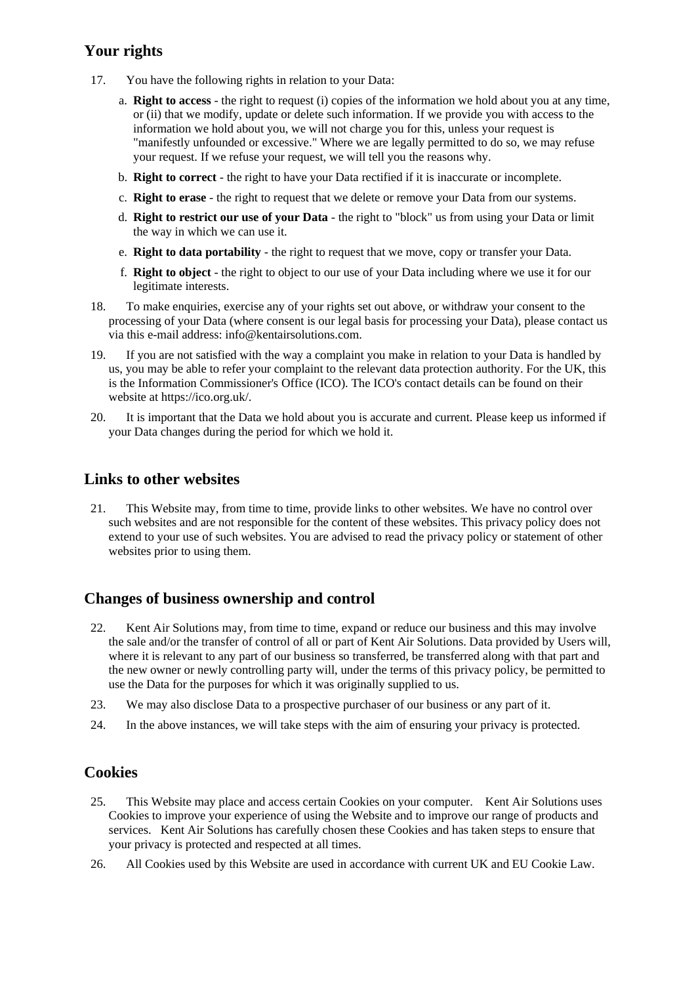## **Your rights**

- 17. You have the following rights in relation to your Data:
	- a. **Right to access** the right to request (i) copies of the information we hold about you at any time, or (ii) that we modify, update or delete such information. If we provide you with access to the information we hold about you, we will not charge you for this, unless your request is "manifestly unfounded or excessive." Where we are legally permitted to do so, we may refuse your request. If we refuse your request, we will tell you the reasons why.
	- b. **Right to correct** the right to have your Data rectified if it is inaccurate or incomplete.
	- c. **Right to erase** the right to request that we delete or remove your Data from our systems.
	- d. **Right to restrict our use of your Data** the right to "block" us from using your Data or limit the way in which we can use it.
	- e. **Right to data portability** the right to request that we move, copy or transfer your Data.
	- f. **Right to object** the right to object to our use of your Data including where we use it for our legitimate interests.
- 18. To make enquiries, exercise any of your rights set out above, or withdraw your consent to the processing of your Data (where consent is our legal basis for processing your Data), please contact us via this e-mail address: info@kentairsolutions.com.
- 19. If you are not satisfied with the way a complaint you make in relation to your Data is handled by us, you may be able to refer your complaint to the relevant data protection authority. For the UK, this is the Information Commissioner's Office (ICO). The ICO's contact details can be found on their website at https://ico.org.uk/.
- 20. It is important that the Data we hold about you is accurate and current. Please keep us informed if your Data changes during the period for which we hold it.

## **Links to other websites**

21. This Website may, from time to time, provide links to other websites. We have no control over such websites and are not responsible for the content of these websites. This privacy policy does not extend to your use of such websites. You are advised to read the privacy policy or statement of other websites prior to using them.

## **Changes of business ownership and control**

- 22. Kent Air Solutions may, from time to time, expand or reduce our business and this may involve the sale and/or the transfer of control of all or part of Kent Air Solutions. Data provided by Users will, where it is relevant to any part of our business so transferred, be transferred along with that part and the new owner or newly controlling party will, under the terms of this privacy policy, be permitted to use the Data for the purposes for which it was originally supplied to us.
- 23. We may also disclose Data to a prospective purchaser of our business or any part of it.
- 24. In the above instances, we will take steps with the aim of ensuring your privacy is protected.

## **Cookies**

- 25. This Website may place and access certain Cookies on your computer. Kent Air Solutions uses Cookies to improve your experience of using the Website and to improve our range of products and services. Kent Air Solutions has carefully chosen these Cookies and has taken steps to ensure that your privacy is protected and respected at all times.
- 26. All Cookies used by this Website are used in accordance with current UK and EU Cookie Law.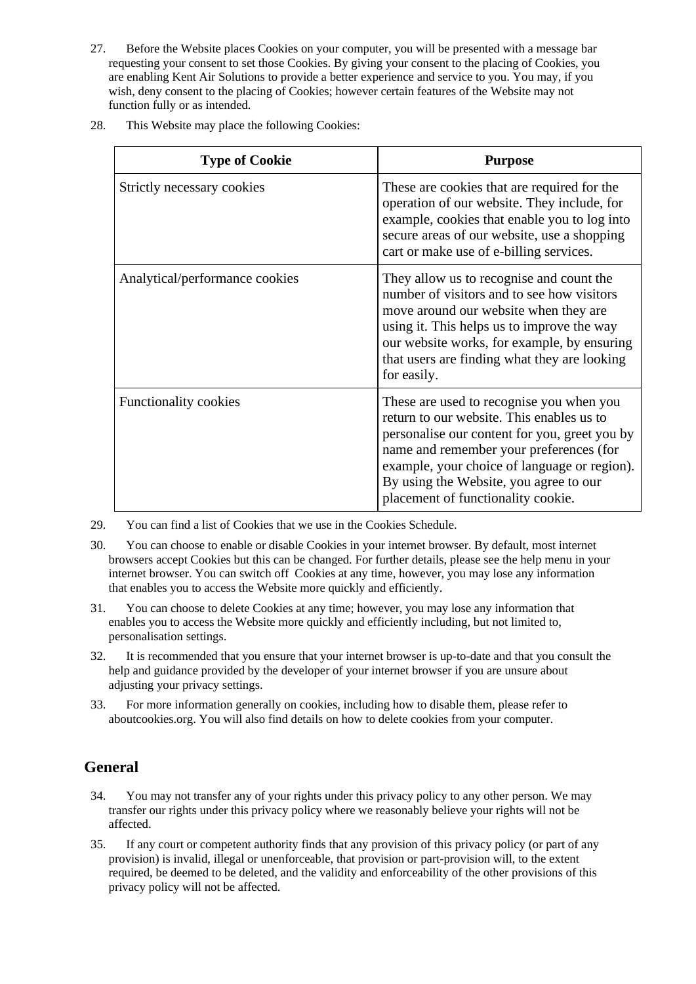- 27. Before the Website places Cookies on your computer, you will be presented with a message bar requesting your consent to set those Cookies. By giving your consent to the placing of Cookies, you are enabling Kent Air Solutions to provide a better experience and service to you. You may, if you wish, deny consent to the placing of Cookies; however certain features of the Website may not function fully or as intended.
- 28. This Website may place the following Cookies:

| <b>Type of Cookie</b>          | <b>Purpose</b>                                                                                                                                                                                                                                                                                                    |
|--------------------------------|-------------------------------------------------------------------------------------------------------------------------------------------------------------------------------------------------------------------------------------------------------------------------------------------------------------------|
| Strictly necessary cookies     | These are cookies that are required for the<br>operation of our website. They include, for<br>example, cookies that enable you to log into<br>secure areas of our website, use a shopping<br>cart or make use of e-billing services.                                                                              |
| Analytical/performance cookies | They allow us to recognise and count the<br>number of visitors and to see how visitors<br>move around our website when they are<br>using it. This helps us to improve the way<br>our website works, for example, by ensuring<br>that users are finding what they are looking<br>for easily.                       |
| <b>Functionality cookies</b>   | These are used to recognise you when you<br>return to our website. This enables us to<br>personalise our content for you, greet you by<br>name and remember your preferences (for<br>example, your choice of language or region).<br>By using the Website, you agree to our<br>placement of functionality cookie. |

29. You can find a list of Cookies that we use in the Cookies Schedule.

- 30. You can choose to enable or disable Cookies in your internet browser. By default, most internet browsers accept Cookies but this can be changed. For further details, please see the help menu in your internet browser. You can switch off Cookies at any time, however, you may lose any information that enables you to access the Website more quickly and efficiently.
- 31. You can choose to delete Cookies at any time; however, you may lose any information that enables you to access the Website more quickly and efficiently including, but not limited to, personalisation settings.
- 32. It is recommended that you ensure that your internet browser is up-to-date and that you consult the help and guidance provided by the developer of your internet browser if you are unsure about adjusting your privacy settings.
- 33. For more information generally on cookies, including how to disable them, please refer to aboutcookies.org. You will also find details on how to delete cookies from your computer.

# **General**

- 34. You may not transfer any of your rights under this privacy policy to any other person. We may transfer our rights under this privacy policy where we reasonably believe your rights will not be affected.
- 35. If any court or competent authority finds that any provision of this privacy policy (or part of any provision) is invalid, illegal or unenforceable, that provision or part-provision will, to the extent required, be deemed to be deleted, and the validity and enforceability of the other provisions of this privacy policy will not be affected.